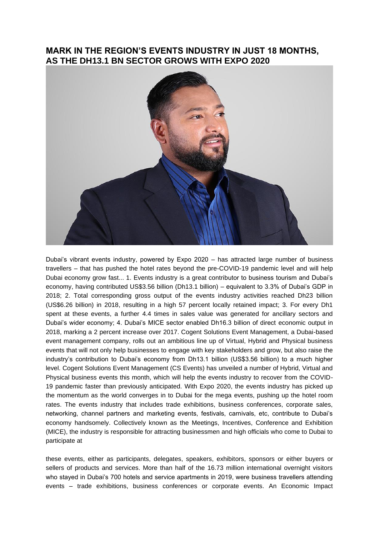## **MARK IN THE REGION'S EVENTS INDUSTRY IN JUST 18 MONTHS, AS THE DH13.1 BN SECTOR GROWS WITH EXPO 2020**



Dubai's vibrant events industry, powered by Expo 2020 – has attracted large number of business travellers – that has pushed the hotel rates beyond the pre-COVID-19 pandemic level and will help Dubai economy grow fast... 1. Events industry is a great contributor to business tourism and Dubai's economy, having contributed US\$3.56 billion (Dh13.1 billion) – equivalent to 3.3% of Dubai's GDP in 2018; 2. Total corresponding gross output of the events industry activities reached Dh23 billion (US\$6.26 billion) in 2018, resulting in a high 57 percent locally retained impact; 3. For every Dh1 spent at these events, a further 4.4 times in sales value was generated for ancillary sectors and Dubai's wider economy; 4. Dubai's MICE sector enabled Dh16.3 billion of direct economic output in 2018, marking a 2 percent increase over 2017. Cogent Solutions Event Management, a Dubai-based event management company, rolls out an ambitious line up of Virtual, Hybrid and Physical business events that will not only help businesses to engage with key stakeholders and grow, but also raise the industry's contribution to Dubai's economy from Dh13.1 billion (US\$3.56 billion) to a much higher level. Cogent Solutions Event Management (CS Events) has unveiled a number of Hybrid, Virtual and Physical business events this month, which will help the events industry to recover from the COVID-19 pandemic faster than previously anticipated. With Expo 2020, the events industry has picked up the momentum as the world converges in to Dubai for the mega events, pushing up the hotel room rates. The events industry that includes trade exhibitions, business conferences, corporate sales, networking, channel partners and marketing events, festivals, carnivals, etc, contribute to Dubai's economy handsomely. Collectively known as the Meetings, Incentives, Conference and Exhibition (MICE), the industry is responsible for attracting businessmen and high officials who come to Dubai to participate at

these events, either as participants, delegates, speakers, exhibitors, sponsors or either buyers or sellers of products and services. More than half of the 16.73 million international overnight visitors who stayed in Dubai's 700 hotels and service apartments in 2019, were business travellers attending events – trade exhibitions, business conferences or corporate events. An Economic Impact